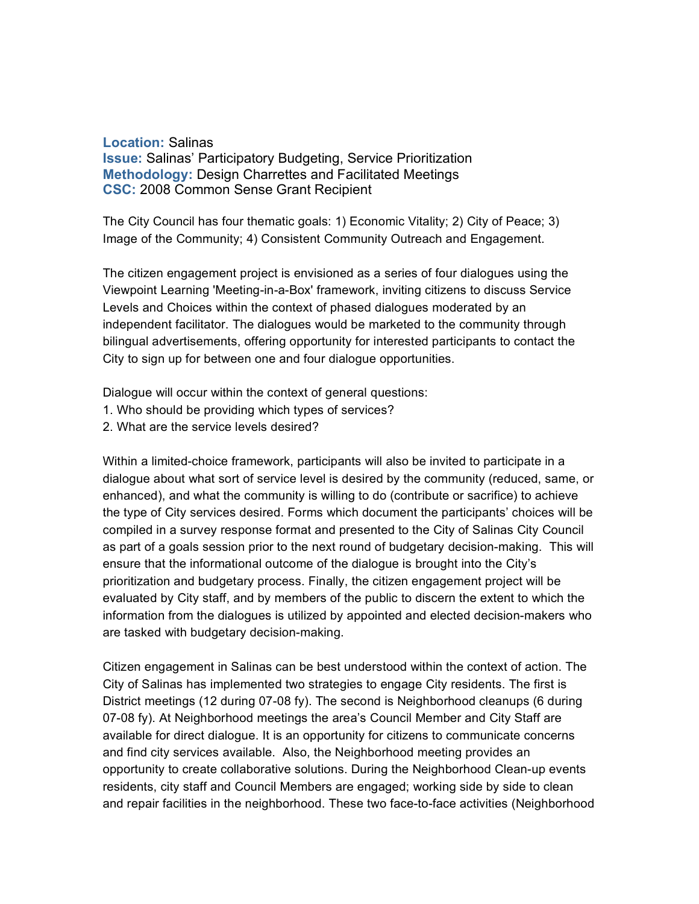## **Location:** Salinas

**Issue:** Salinas' Participatory Budgeting, Service Prioritization **Methodology:** Design Charrettes and Facilitated Meetings **CSC:** 2008 Common Sense Grant Recipient

The City Council has four thematic goals: 1) Economic Vitality; 2) City of Peace; 3) Image of the Community; 4) Consistent Community Outreach and Engagement.

The citizen engagement project is envisioned as a series of four dialogues using the Viewpoint Learning 'Meeting-in-a-Box' framework, inviting citizens to discuss Service Levels and Choices within the context of phased dialogues moderated by an independent facilitator. The dialogues would be marketed to the community through bilingual advertisements, offering opportunity for interested participants to contact the City to sign up for between one and four dialogue opportunities.

Dialogue will occur within the context of general questions:

- 1. Who should be providing which types of services?
- 2. What are the service levels desired?

Within a limited-choice framework, participants will also be invited to participate in a dialogue about what sort of service level is desired by the community (reduced, same, or enhanced), and what the community is willing to do (contribute or sacrifice) to achieve the type of City services desired. Forms which document the participants' choices will be compiled in a survey response format and presented to the City of Salinas City Council as part of a goals session prior to the next round of budgetary decision-making. This will ensure that the informational outcome of the dialogue is brought into the City's prioritization and budgetary process. Finally, the citizen engagement project will be evaluated by City staff, and by members of the public to discern the extent to which the information from the dialogues is utilized by appointed and elected decision-makers who are tasked with budgetary decision-making.

Citizen engagement in Salinas can be best understood within the context of action. The City of Salinas has implemented two strategies to engage City residents. The first is District meetings (12 during 07-08 fy). The second is Neighborhood cleanups (6 during 07-08 fy). At Neighborhood meetings the area's Council Member and City Staff are available for direct dialogue. It is an opportunity for citizens to communicate concerns and find city services available. Also, the Neighborhood meeting provides an opportunity to create collaborative solutions. During the Neighborhood Clean-up events residents, city staff and Council Members are engaged; working side by side to clean and repair facilities in the neighborhood. These two face-to-face activities (Neighborhood